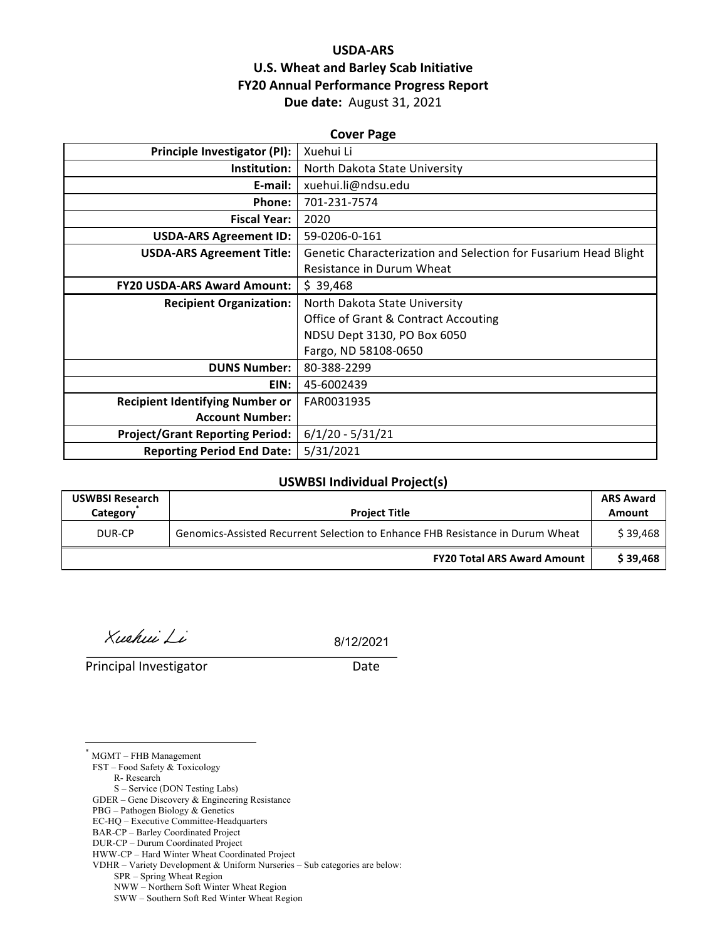## **USDA-ARS U.S. Wheat and Barley Scab Initiative FY20 Annual Performance Progress Report Due date:** August 31, 2021

| <b>Cover Page</b>                      |                                                                 |  |  |  |
|----------------------------------------|-----------------------------------------------------------------|--|--|--|
| Principle Investigator (PI):           | Xuehui Li                                                       |  |  |  |
| Institution:                           | North Dakota State University                                   |  |  |  |
| E-mail:                                | xuehui.li@ndsu.edu                                              |  |  |  |
| Phone:                                 | 701-231-7574                                                    |  |  |  |
| <b>Fiscal Year:</b>                    | 2020                                                            |  |  |  |
| <b>USDA-ARS Agreement ID:</b>          | 59-0206-0-161                                                   |  |  |  |
| <b>USDA-ARS Agreement Title:</b>       | Genetic Characterization and Selection for Fusarium Head Blight |  |  |  |
|                                        | Resistance in Durum Wheat                                       |  |  |  |
| <b>FY20 USDA-ARS Award Amount:</b>     | \$39,468                                                        |  |  |  |
| <b>Recipient Organization:</b>         | North Dakota State University                                   |  |  |  |
|                                        | Office of Grant & Contract Accouting                            |  |  |  |
|                                        | NDSU Dept 3130, PO Box 6050                                     |  |  |  |
|                                        | Fargo, ND 58108-0650                                            |  |  |  |
| <b>DUNS Number:</b>                    | 80-388-2299                                                     |  |  |  |
| EIN:                                   | 45-6002439                                                      |  |  |  |
| <b>Recipient Identifying Number or</b> | FAR0031935                                                      |  |  |  |
| <b>Account Number:</b>                 |                                                                 |  |  |  |
| <b>Project/Grant Reporting Period:</b> | $6/1/20 - 5/31/21$                                              |  |  |  |
| <b>Reporting Period End Date:</b>      | 5/31/2021                                                       |  |  |  |

#### **USWBSI Individual Project(s)**

| <b>USWBSI Research</b><br>Category | <b>Project Title</b>                                                           | <b>ARS Award</b><br>Amount |
|------------------------------------|--------------------------------------------------------------------------------|----------------------------|
| DUR-CP                             | Genomics-Assisted Recurrent Selection to Enhance FHB Resistance in Durum Wheat | \$39.468                   |
|                                    | <b>FY20 Total ARS Award Amount</b>                                             | \$39,468                   |

Xuehui Li

8/12/2021

**Principal Investigator** Date

MGMT – FHB Management

 $\overline{a}$ 

FST – Food Safety & Toxicology

 R- Research S – Service (DON Testing Labs)

GDER – Gene Discovery & Engineering Resistance

PBG – Pathogen Biology & Genetics

EC-HQ – Executive Committee-Headquarters

BAR-CP – Barley Coordinated Project

DUR-CP – Durum Coordinated Project

VDHR – Variety Development & Uniform Nurseries – Sub categories are below:

SPR – Spring Wheat Region

NWW – Northern Soft Winter Wheat Region

SWW – Southern Soft Red Winter Wheat Region

HWW-CP – Hard Winter Wheat Coordinated Project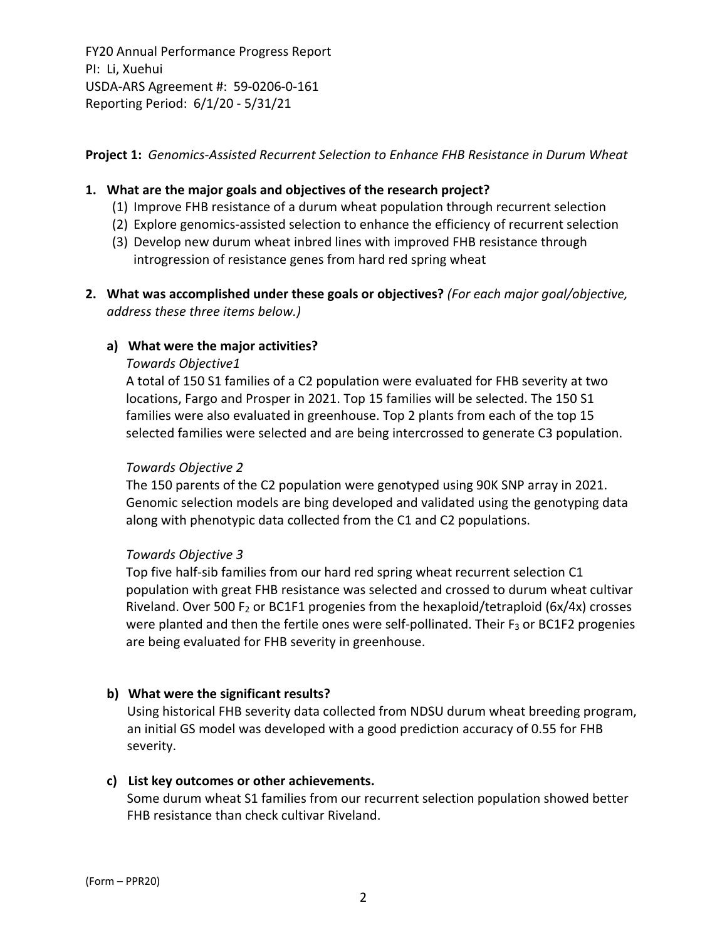**Project 1:** *Genomics‐Assisted Recurrent Selection to Enhance FHB Resistance in Durum Wheat*

### **1. What are the major goals and objectives of the research project?**

- (1) Improve FHB resistance of a durum wheat population through recurrent selection
- (2) Explore genomics‐assisted selection to enhance the efficiency of recurrent selection
- (3) Develop new durum wheat inbred lines with improved FHB resistance through introgression of resistance genes from hard red spring wheat
- **2. What was accomplished under these goals or objectives?** *(For each major goal/objective, address these three items below.)*

### **a) What were the major activities?**

#### *Towards Objective1*

A total of 150 S1 families of a C2 population were evaluated for FHB severity at two locations, Fargo and Prosper in 2021. Top 15 families will be selected. The 150 S1 families were also evaluated in greenhouse. Top 2 plants from each of the top 15 selected families were selected and are being intercrossed to generate C3 population.

#### *Towards Objective 2*

The 150 parents of the C2 population were genotyped using 90K SNP array in 2021. Genomic selection models are bing developed and validated using the genotyping data along with phenotypic data collected from the C1 and C2 populations.

#### *Towards Objective 3*

Top five half‐sib families from our hard red spring wheat recurrent selection C1 population with great FHB resistance was selected and crossed to durum wheat cultivar Riveland. Over 500  $F_2$  or BC1F1 progenies from the hexaploid/tetraploid (6x/4x) crosses were planted and then the fertile ones were self-pollinated. Their  $F_3$  or BC1F2 progenies are being evaluated for FHB severity in greenhouse.

## **b) What were the significant results?**

Using historical FHB severity data collected from NDSU durum wheat breeding program, an initial GS model was developed with a good prediction accuracy of 0.55 for FHB severity.

#### **c) List key outcomes or other achievements.**

Some durum wheat S1 families from our recurrent selection population showed better FHB resistance than check cultivar Riveland.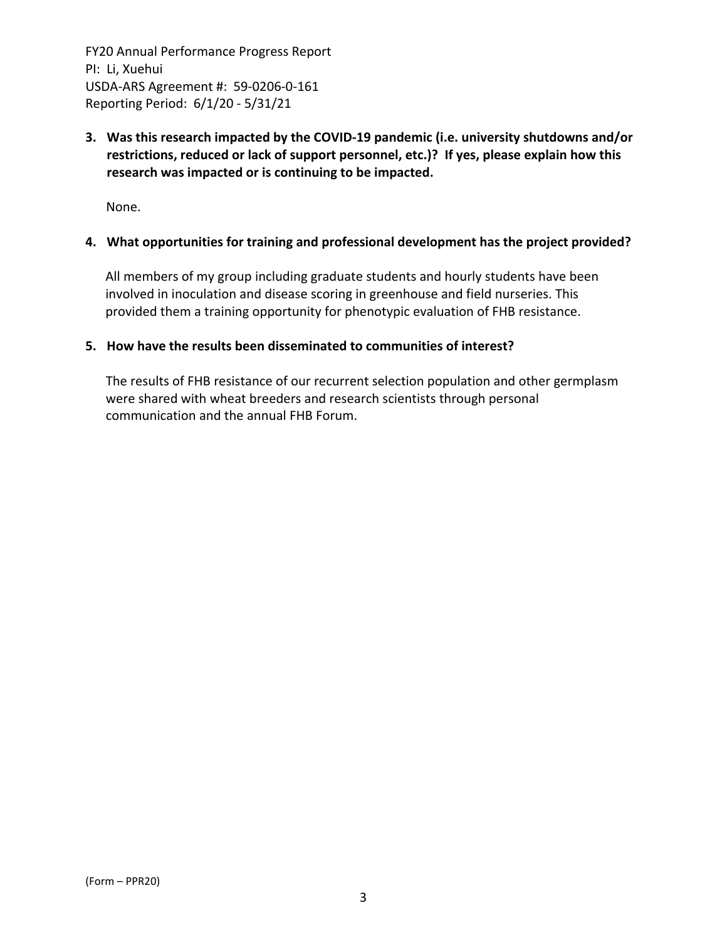**3. Was this research impacted by the COVID‐19 pandemic (i.e. university shutdowns and/or restrictions, reduced or lack of support personnel, etc.)? If yes, please explain how this research was impacted or is continuing to be impacted.**

None.

#### **4. What opportunities for training and professional development has the project provided?**

All members of my group including graduate students and hourly students have been involved in inoculation and disease scoring in greenhouse and field nurseries. This provided them a training opportunity for phenotypic evaluation of FHB resistance.

#### **5. How have the results been disseminated to communities of interest?**

The results of FHB resistance of our recurrent selection population and other germplasm were shared with wheat breeders and research scientists through personal communication and the annual FHB Forum.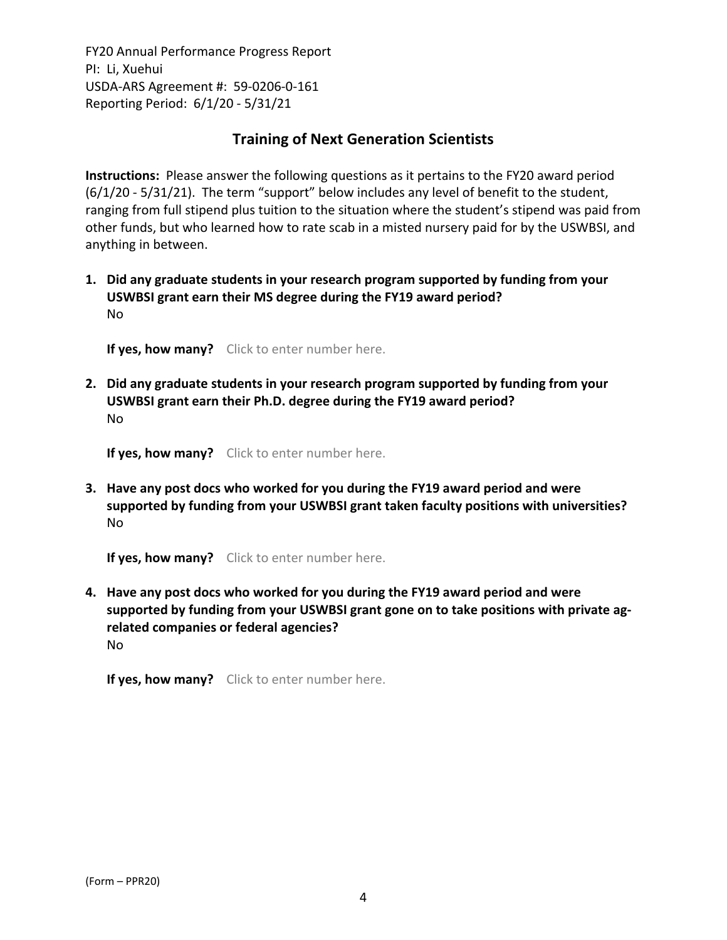## **Training of Next Generation Scientists**

**Instructions:** Please answer the following questions as it pertains to the FY20 award period (6/1/20 ‐ 5/31/21). The term "support" below includes any level of benefit to the student, ranging from full stipend plus tuition to the situation where the student's stipend was paid from other funds, but who learned how to rate scab in a misted nursery paid for by the USWBSI, and anything in between.

**1. Did any graduate students in your research program supported by funding from your USWBSI grant earn their MS degree during the FY19 award period?** No

**If yes, how many?** Click to enter number here.

**2. Did any graduate students in your research program supported by funding from your USWBSI grant earn their Ph.D. degree during the FY19 award period?** No

**If yes, how many?** Click to enter number here.

**3. Have any post docs who worked for you during the FY19 award period and were supported by funding from your USWBSI grant taken faculty positions with universities?** No

**If yes, how many?** Click to enter number here.

**4. Have any post docs who worked for you during the FY19 award period and were supported by funding from your USWBSI grant gone on to take positions with private ag‐ related companies or federal agencies?** No

**If yes, how many?** Click to enter number here.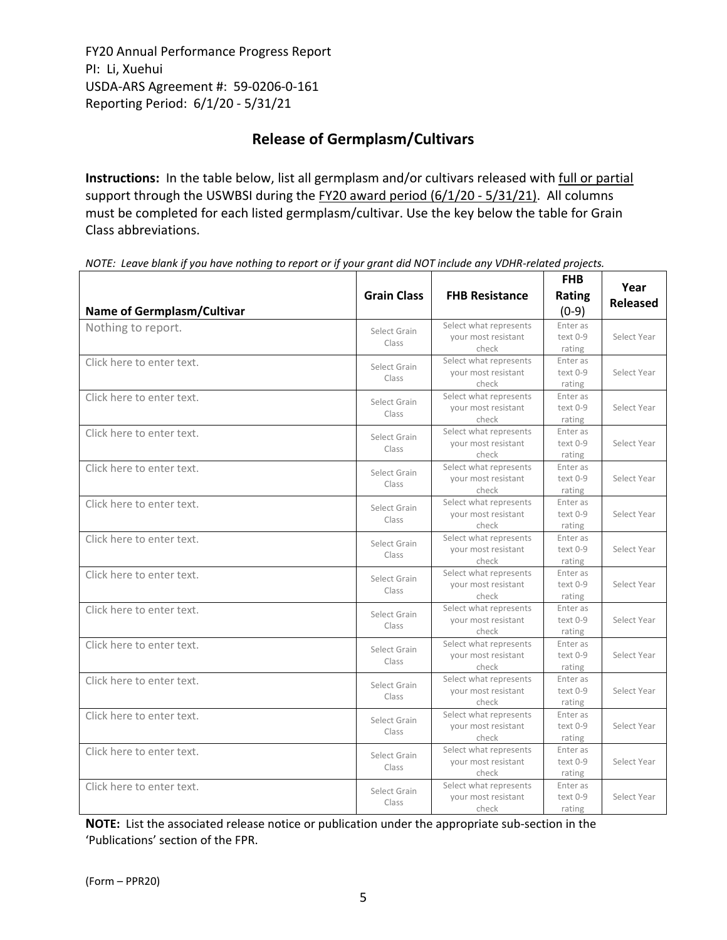# **Release of Germplasm/Cultivars**

**Instructions:** In the table below, list all germplasm and/or cultivars released with full or partial support through the USWBSI during the FY20 award period (6/1/20 - 5/31/21). All columns must be completed for each listed germplasm/cultivar. Use the key below the table for Grain Class abbreviations. 

|                                   | <b>Grain Class</b>    | <b>FHB Resistance</b>                                  | <b>FHB</b><br>Rating           | Year<br><b>Released</b> |
|-----------------------------------|-----------------------|--------------------------------------------------------|--------------------------------|-------------------------|
| <b>Name of Germplasm/Cultivar</b> |                       |                                                        | $(0-9)$                        |                         |
| Nothing to report.                | Select Grain<br>Class | Select what represents<br>your most resistant<br>check | Enter as<br>text 0-9<br>rating | Select Year             |
| Click here to enter text.         | Select Grain<br>Class | Select what represents<br>your most resistant<br>check | Enter as<br>text 0-9<br>rating | Select Year             |
| Click here to enter text.         | Select Grain<br>Class | Select what represents<br>your most resistant<br>check | Enter as<br>text 0-9<br>rating | Select Year             |
| Click here to enter text.         | Select Grain<br>Class | Select what represents<br>your most resistant<br>check | Enter as<br>text 0-9<br>rating | Select Year             |
| Click here to enter text.         | Select Grain<br>Class | Select what represents<br>your most resistant<br>check | Enter as<br>text 0-9<br>rating | Select Year             |
| Click here to enter text.         | Select Grain<br>Class | Select what represents<br>your most resistant<br>check | Enter as<br>text 0-9<br>rating | Select Year             |
| Click here to enter text.         | Select Grain<br>Class | Select what represents<br>your most resistant<br>check | Enter as<br>text 0-9<br>rating | Select Year             |
| Click here to enter text.         | Select Grain<br>Class | Select what represents<br>your most resistant<br>check | Enter as<br>text 0-9<br>rating | Select Year             |
| Click here to enter text.         | Select Grain<br>Class | Select what represents<br>your most resistant<br>check | Enter as<br>text 0-9<br>rating | Select Year             |
| Click here to enter text.         | Select Grain<br>Class | Select what represents<br>your most resistant<br>check | Enter as<br>text 0-9<br>rating | Select Year             |
| Click here to enter text.         | Select Grain<br>Class | Select what represents<br>your most resistant<br>check | Enter as<br>text 0-9<br>rating | Select Year             |
| Click here to enter text.         | Select Grain<br>Class | Select what represents<br>your most resistant<br>check | Enter as<br>text 0-9<br>rating | Select Year             |
| Click here to enter text.         | Select Grain<br>Class | Select what represents<br>your most resistant<br>check | Enter as<br>text 0-9<br>rating | Select Year             |
| Click here to enter text.         | Select Grain<br>Class | Select what represents<br>your most resistant<br>check | Enter as<br>text 0-9<br>rating | Select Year             |

NOTE: Leave blank if you have nothing to report or if your grant did NOT include any VDHR-related projects.

**NOTE:** List the associated release notice or publication under the appropriate sub-section in the 'Publications' section of the FPR.